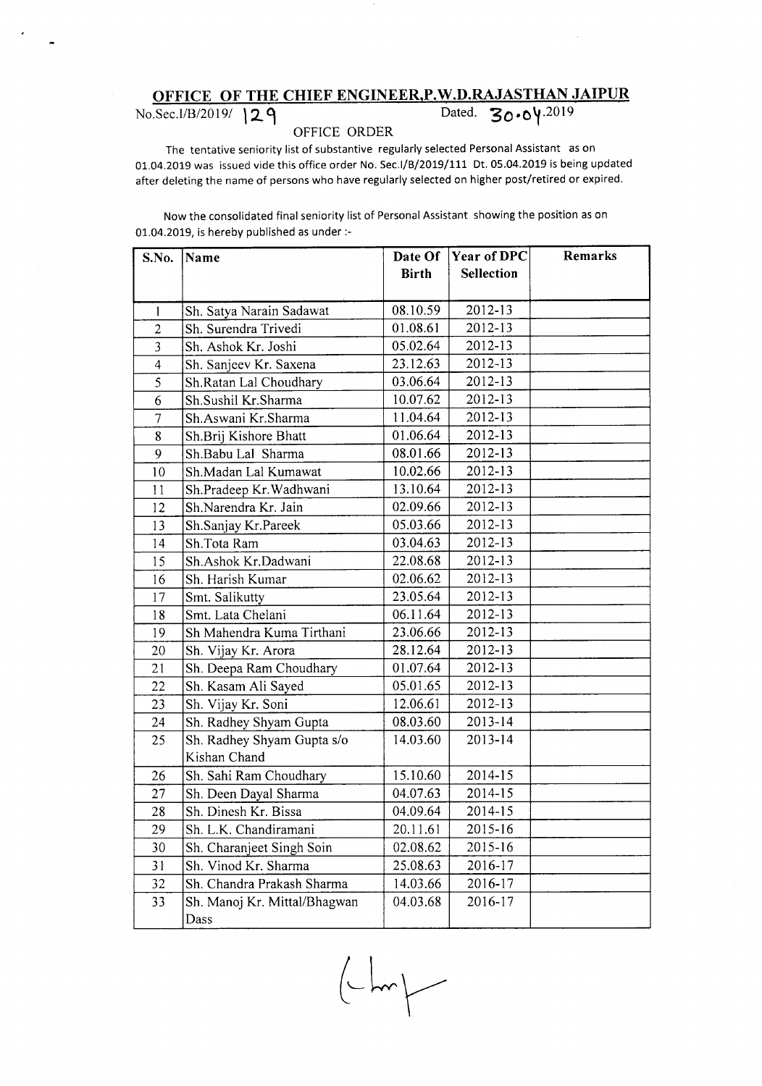## **OFFICE OF THE CHIEF ENGINEER,P.W.D.RAJASTHAN JAIPUR**

No.Sec.I/B/2019/ 129 Dated. **30.04**.2019

## OFFICE ORDER

The tentative seniority list of substantive regularly selected Personal Assistant as on 01.04.2019 was issued vide this office order No. Sec.I/B/2019/111 Dt. 05.04.2019 is being updated after deleting the name of persons who have regularly selected on higher post/retired or expired.

Now the consolidated final seniority list of Personal Assistant showing the position as on 01.04.2019, is hereby published as under :-

| S.No.                    | Name                         |              | Date Of Year of DPC | Remarks |
|--------------------------|------------------------------|--------------|---------------------|---------|
|                          |                              | <b>Birth</b> | <b>Sellection</b>   |         |
|                          |                              |              |                     |         |
| 1                        | Sh. Satya Narain Sadawat     | 08.10.59     | 2012-13             |         |
| $\overline{c}$           | Sh. Surendra Trivedi         | 01.08.61     | 2012-13             |         |
| $\overline{3}$           | Sh. Ashok Kr. Joshi          | 05.02.64     | 2012-13             |         |
| $\overline{\mathcal{L}}$ | Sh. Sanjeev Kr. Saxena       | 23.12.63     | 2012-13             |         |
| 5                        | Sh.Ratan Lal Choudhary       | 03.06.64     | 2012-13             |         |
| 6                        | Sh.Sushil Kr.Sharma          | 10.07.62     | 2012-13             |         |
| $\overline{7}$           | Sh.Aswani Kr.Sharma          | 11.04.64     | 2012-13             |         |
| 8                        | Sh.Brij Kishore Bhatt        | 01.06.64     | 2012-13             |         |
| 9                        | Sh.Babu Lal Sharma           | 08.01.66     | 2012-13             |         |
| 10                       | Sh.Madan Lal Kumawat         | 10.02.66     | 2012-13             |         |
| 11                       | Sh.Pradeep Kr.Wadhwani       | 13.10.64     | 2012-13             |         |
| 12                       | Sh.Narendra Kr. Jain         | 02.09.66     | $2012 - 13$         |         |
| 13                       | Sh.Sanjay Kr.Pareek          | 05.03.66     | 2012-13             |         |
| 14                       | Sh.Tota Ram                  | 03.04.63     | 2012-13             |         |
| 15                       | Sh.Ashok Kr.Dadwani          | 22.08.68     | $2012 - 13$         |         |
| 16                       | Sh. Harish Kumar             | 02.06.62     | 2012-13             |         |
| 17                       | Smt. Salikutty               | 23.05.64     | 2012-13             |         |
| 18                       | Smt. Lata Chelani            | 06.11.64     | 2012-13             |         |
| 19                       | Sh Mahendra Kuma Tirthani    | 23.06.66     | 2012-13             |         |
| 20                       | Sh. Vijay Kr. Arora          | 28.12.64     | 2012-13             |         |
| 21                       | Sh. Deepa Ram Choudhary      | 01.07.64     | 2012-13             |         |
| 22                       | Sh. Kasam Ali Sayed          | 05.01.65     | 2012-13             |         |
| 23                       | Sh. Vijay Kr. Soni           | 12.06.61     | 2012-13             |         |
| 24                       | Sh. Radhey Shyam Gupta       | 08.03.60     | 2013-14             |         |
| 25                       | Sh. Radhey Shyam Gupta s/o   | 14.03.60     | 2013-14             |         |
|                          | Kishan Chand                 |              |                     |         |
| 26                       | Sh. Sahi Ram Choudhary       | 15.10.60     | 2014-15             |         |
| 27                       | Sh. Deen Dayal Sharma        | 04.07.63     | 2014-15             |         |
| 28                       | Sh. Dinesh Kr. Bissa         | 04.09.64     | 2014-15             |         |
| 29                       | Sh. L.K. Chandiramani        | 20.11.61     | 2015-16             |         |
| 30                       | Sh. Charanjeet Singh Soin    | 02.08.62     | 2015-16             |         |
| 31                       | Sh. Vinod Kr. Sharma         | 25.08.63     | 2016-17             |         |
| 32                       | Sh. Chandra Prakash Sharma   | 14.03.66     | 2016-17             |         |
| 33                       | Sh. Manoj Kr. Mittal/Bhagwan | 04.03.68     | 2016-17             |         |
|                          | Dass                         |              |                     |         |

 $\begin{picture}(120,10) \put(0,0){\line(1,0){10}} \put(15,0){\line(1,0){10}} \put(15,0){\line(1,0){10}} \put(15,0){\line(1,0){10}} \put(15,0){\line(1,0){10}} \put(15,0){\line(1,0){10}} \put(15,0){\line(1,0){10}} \put(15,0){\line(1,0){10}} \put(15,0){\line(1,0){10}} \put(15,0){\line(1,0){10}} \put(15,0){\line(1,0){10}} \put(15,0){\line($